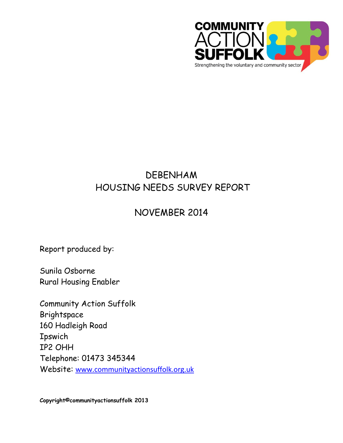

# DEBENHAM HOUSING NEEDS SURVEY REPORT

# NOVEMBER 2014

Report produced by:

Sunila Osborne Rural Housing Enabler

Community Action Suffolk Brightspace 160 Hadleigh Road **Ipswich** IP2 OHH Telephone: 01473 345344 Website: [www.communityactionsuffolk.org.uk](http://www.communityactionsuffolk.org.uk/)

**Copyright©communityactionsuffolk 2013**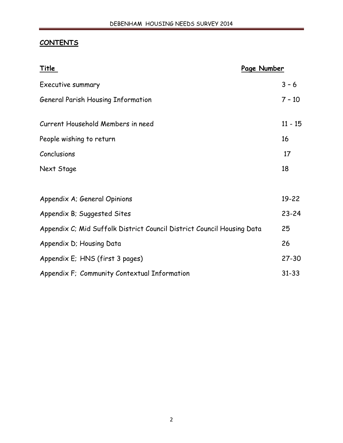# **CONTENTS**

| <u>Title</u>                                                           | Page Number |
|------------------------------------------------------------------------|-------------|
| Executive summary                                                      | $3 - 6$     |
| <b>General Parish Housing Information</b>                              | $7 - 10$    |
| Current Household Members in need                                      | $11 - 15$   |
| People wishing to return                                               | 16          |
| Conclusions                                                            | 17          |
| Next Stage                                                             | 18          |
| Appendix A; General Opinions                                           | $19 - 22$   |
| Appendix B; Suggested Sites                                            | $23 - 24$   |
| Appendix C; Mid Suffolk District Council District Council Housing Data | 25          |
| Appendix D; Housing Data                                               | 26          |
| Appendix E; HNS (first 3 pages)                                        | $27 - 30$   |
| Appendix F; Community Contextual Information                           | $31 - 33$   |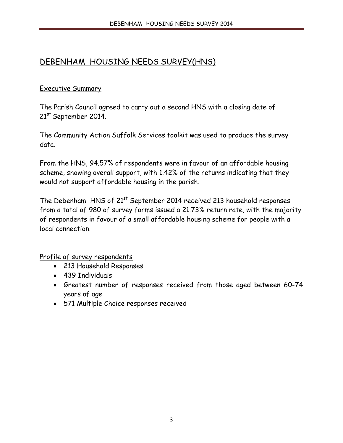# DEBENHAM HOUSING NEEDS SURVEY(HNS)

#### **Executive Summary**

The Parish Council agreed to carry out a second HNS with a closing date of 21st September 2014.

The Community Action Suffolk Services toolkit was used to produce the survey data.

From the HNS, 94.57% of respondents were in favour of an affordable housing scheme, showing overall support, with 1.42% of the returns indicating that they would not support affordable housing in the parish.

The Debenham HNS of 21<sup>st</sup> September 2014 received 213 household responses from a total of 980 of survey forms issued a 21.73% return rate, with the majority of respondents in favour of a small affordable housing scheme for people with a local connection.

## Profile of survey respondents

- 213 Household Responses
- 439 Individuals
- Greatest number of responses received from those aged between 60-74 years of age
- 571 Multiple Choice responses received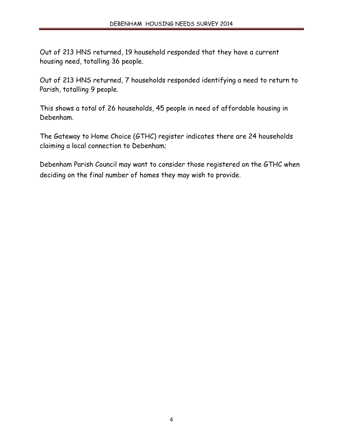Out of 213 HNS returned, 19 household responded that they have a current housing need, totalling 36 people.

Out of 213 HNS returned, 7 households responded identifying a need to return to Parish, totalling 9 people.

This shows a total of 26 households, 45 people in need of affordable housing in Debenham.

The Gateway to Home Choice (GTHC) register indicates there are 24 households claiming a local connection to Debenham;

Debenham Parish Council may want to consider those registered on the GTHC when deciding on the final number of homes they may wish to provide.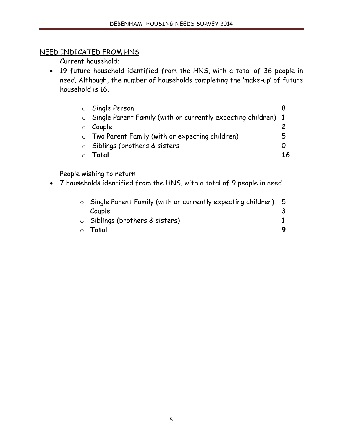# NEED INDICATED FROM HNS

Current household;

• 19 future household identified from the HNS, with a total of 36 people in need. Although, the number of households completing the 'make-up' of future household is 16.

| ○ Single Person                                                       |    |
|-----------------------------------------------------------------------|----|
| $\circ$ Single Parent Family (with or currently expecting children) 1 |    |
| $\circ$ Couple                                                        |    |
| o Two Parent Family (with or expecting children)                      | ל  |
| $\circ$ Siblings (brothers & sisters                                  |    |
| Total                                                                 | 16 |

## People wishing to return

x 7 households identified from the HNS, with a total of 9 people in need.

| $\circ$ Single Parent Family (with or currently expecting children) | - 5 |
|---------------------------------------------------------------------|-----|
| Couple                                                              |     |
| $\circ$ Siblings (brothers & sisters)                               |     |
| ⊙ Total                                                             |     |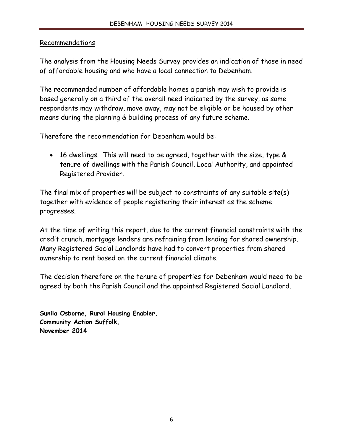#### Recommendations

The analysis from the Housing Needs Survey provides an indication of those in need of affordable housing and who have a local connection to Debenham.

The recommended number of affordable homes a parish may wish to provide is based generally on a third of the overall need indicated by the survey, as some respondents may withdraw, move away, may not be eligible or be housed by other means during the planning & building process of any future scheme.

Therefore the recommendation for Debenham would be:

• 16 dwellings. This will need to be agreed, together with the size, type & tenure of dwellings with the Parish Council, Local Authority, and appointed Registered Provider.

The final mix of properties will be subject to constraints of any suitable site(s) together with evidence of people registering their interest as the scheme progresses.

At the time of writing this report, due to the current financial constraints with the credit crunch, mortgage lenders are refraining from lending for shared ownership. Many Registered Social Landlords have had to convert properties from shared ownership to rent based on the current financial climate.

The decision therefore on the tenure of properties for Debenham would need to be agreed by both the Parish Council and the appointed Registered Social Landlord.

**Sunila Osborne, Rural Housing Enabler, Community Action Suffolk, November 2014**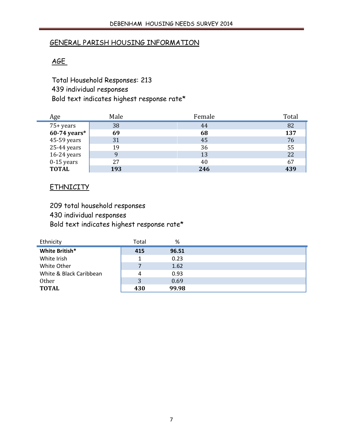#### GENERAL PARISH HOUSING INFORMATION

## AGE

Total Household Responses: 213 439 individual responses Bold text indicates highest response rate\*

| Age            | Male | Female | Total |
|----------------|------|--------|-------|
| 75+ years      | 38   | 44     | 82    |
| $60-74$ years* | 69   | 68     | 137   |
| 45-59 years    | 31   | 45     | 76    |
| 25-44 years    | 19   | 36     | 55    |
| 16-24 years    |      | 13     | 22    |
| $0-15$ years   | 27   | 40     | 67    |
| <b>TOTAL</b>   | 193  | 246    | 439   |

#### **ETHNICITY**

209 total household responses

430 individual responses

Bold text indicates highest response rate\*

| Ethnicity               | Total | %     |  |
|-------------------------|-------|-------|--|
| White British*          | 415   | 96.51 |  |
| White Irish             |       | 0.23  |  |
| White Other             |       | 1.62  |  |
| White & Black Caribbean | 4     | 0.93  |  |
| <b>Other</b>            | 3     | 0.69  |  |
| <b>TOTAL</b>            | 430   | 99.98 |  |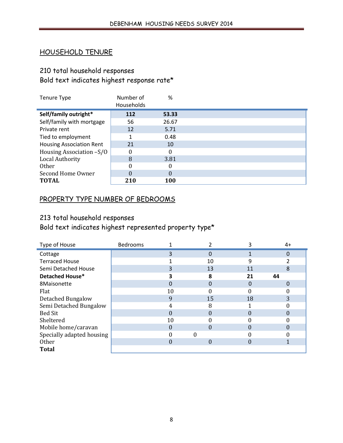#### HOUSEHOLD TENURE

# 210 total household responses

# Bold text indicates highest response rate\*

| <b>Tenure Type</b>              | Number of  | %          |  |
|---------------------------------|------------|------------|--|
|                                 | Households |            |  |
| Self/family outright*           | 112        | 53.33      |  |
| Self/family with mortgage       | 56         | 26.67      |  |
| Private rent                    | 12         | 5.71       |  |
| Tied to employment              |            | 0.48       |  |
| <b>Housing Association Rent</b> | 21         | 10         |  |
| Housing Association -S/O        |            |            |  |
| Local Authority                 | 8          | 3.81       |  |
| <b>Other</b>                    |            |            |  |
| Second Home Owner               | 0          | $\Omega$   |  |
| <b>TOTAL</b>                    | 210        | <b>100</b> |  |

### PROPERTY TYPE NUMBER OF BEDROOMS

#### 213 total household responses

Bold text indicates highest represented property type\*

| Type of House             | <b>Bedrooms</b> |    |    |          | $4+$         |
|---------------------------|-----------------|----|----|----------|--------------|
| Cottage                   |                 | 3  | 0  |          | 0            |
| <b>Terraced House</b>     |                 |    | 10 | 9        |              |
| Semi Detached House       |                 | 3  | 13 | 11       | 8            |
| Detached House*           |                 |    | 8  | 21       | 44           |
| 8Maisonette               |                 |    | 0  | $\Omega$ | $\mathbf{O}$ |
| Flat                      |                 | 10 |    |          |              |
| Detached Bungalow         |                 | 9  | 15 | 18       | 3            |
| Semi Detached Bungalow    |                 | 4  | 8  |          |              |
| <b>Bed Sit</b>            |                 | 0  | 0  | 0        |              |
| Sheltered                 |                 | 10 |    |          |              |
| Mobile home/caravan       |                 | 0  | 0  |          |              |
| Specially adapted housing |                 |    | 0  |          |              |
| <b>Other</b>              |                 | 0  | 0  |          |              |
| <b>Total</b>              |                 |    |    |          |              |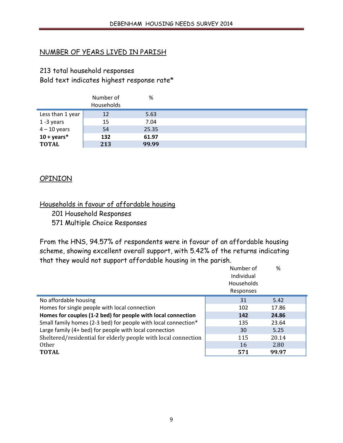### NUMBER OF YEARS LIVED IN PARISH

# 213 total household responses Bold text indicates highest response rate\*

|                       | Number of<br>Households | %     |  |
|-----------------------|-------------------------|-------|--|
| Less than 1 year      | 12                      | 5.63  |  |
| 1-3 years             | 15                      | 7.04  |  |
| $4 - 10$ years        | 54                      | 25.35 |  |
| $10 + \text{years}^*$ | 132                     | 61.97 |  |
| <b>TOTAL</b>          | 213                     | 99.99 |  |

#### **OPINION**

#### Households in favour of affordable housing

201 Household Responses 571 Multiple Choice Responses

From the HNS, 94.57% of respondents were in favour of an affordable housing scheme, showing excellent overall support, with 5.42% of the returns indicating that they would not support affordable housing in the parish.

|                                                                | Number of<br>Individual<br>Households<br>Responses | %     |  |
|----------------------------------------------------------------|----------------------------------------------------|-------|--|
| No affordable housing                                          | 31                                                 | 5.42  |  |
| Homes for single people with local connection                  | 102                                                | 17.86 |  |
| Homes for couples (1-2 bed) for people with local connection   | 142                                                | 24.86 |  |
| Small family homes (2-3 bed) for people with local connection* | 135                                                | 23.64 |  |
| Large family (4+ bed) for people with local connection         | 30                                                 | 5.25  |  |
| Sheltered/residential for elderly people with local connection | 115                                                | 20.14 |  |
| <b>Other</b>                                                   | 16                                                 | 2.80  |  |
| <b>TOTAL</b>                                                   | 571                                                | 99.97 |  |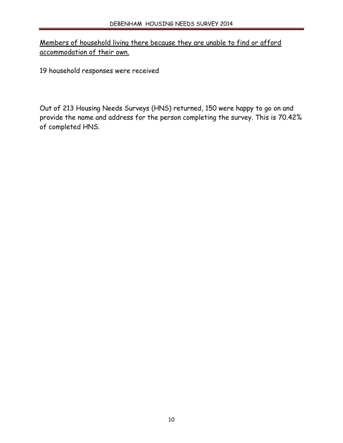Members of household living there because they are unable to find or afford accommodation of their own.

19 household responses were received

Out of 213 Housing Needs Surveys (HNS) returned, 150 were happy to go on and provide the name and address for the person completing the survey. This is 70.42% of completed HNS.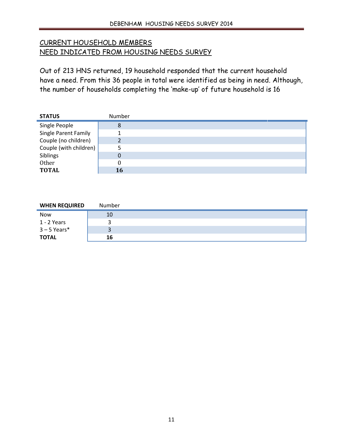# CURRENT HOUSEHOLD MEMBERS NEED INDICATED FROM HOUSING NEEDS SURVEY

Out of 213 HNS returned, 19 household responded that the current household have a need. From this 36 people in total were identified as being in need. Although, the number of households completing the 'make-up' of future household is 16

| <b>STATUS</b>          | Number   |  |
|------------------------|----------|--|
| Single People          | 8        |  |
| Single Parent Family   |          |  |
| Couple (no children)   | າ        |  |
| Couple (with children) |          |  |
| Siblings               | $\Omega$ |  |
| Other                  |          |  |
| <b>TOTAL</b>           | 16       |  |

| <b>WHEN REQUIRED</b> | Number |  |
|----------------------|--------|--|
| <b>Now</b>           | 10     |  |
| 1 - 2 Years          |        |  |
| $3 - 5$ Years*       |        |  |
| <b>TOTAL</b>         | 16     |  |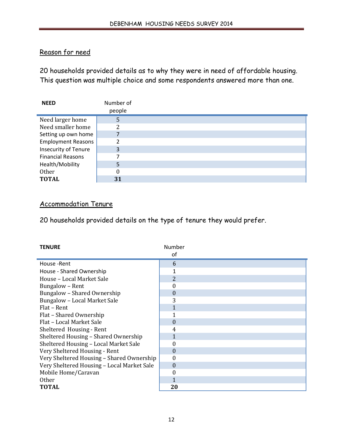## Reason for need

20 households provided details as to why they were in need of affordable housing. This question was multiple choice and some respondents answered more than one.

| <b>NEED</b>               | Number of |  |
|---------------------------|-----------|--|
|                           | people    |  |
| Need larger home          | 5         |  |
| Need smaller home         | ŋ         |  |
| Setting up own home       |           |  |
| <b>Employment Reasons</b> | ∍         |  |
| Insecurity of Tenure      | 3         |  |
| <b>Financial Reasons</b>  |           |  |
| Health/Mobility           | 5         |  |
| Other                     | 0         |  |
| <b>TOTAL</b>              | 31        |  |

#### Accommodation Tenure

20 households provided details on the type of tenure they would prefer.

| <b>TENURE</b>                              | Number           |  |
|--------------------------------------------|------------------|--|
|                                            | οf               |  |
| House - Rent                               | 6                |  |
| House - Shared Ownership                   | 1                |  |
| House - Local Market Sale                  | 2                |  |
| Bungalow - Rent                            | 0                |  |
| Bungalow - Shared Ownership                | $\boldsymbol{0}$ |  |
| Bungalow - Local Market Sale               | 3                |  |
| Flat – Rent                                | $\mathbf{1}$     |  |
| Flat - Shared Ownership                    |                  |  |
| Flat - Local Market Sale                   | $\theta$         |  |
| Sheltered Housing - Rent                   | 4                |  |
| Sheltered Housing - Shared Ownership       | 1                |  |
| Sheltered Housing - Local Market Sale      | 0                |  |
| Very Sheltered Housing - Rent              | $\Omega$         |  |
| Very Sheltered Housing - Shared Ownership  | $\theta$         |  |
| Very Sheltered Housing - Local Market Sale | $\boldsymbol{0}$ |  |
| Mobile Home/Caravan                        | 0                |  |
| <b>Other</b>                               |                  |  |
| TOTAL                                      | 20               |  |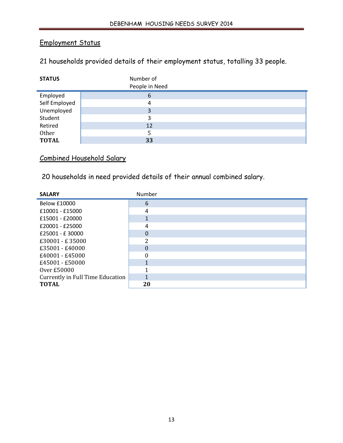# Employment Status

# 21 households provided details of their employment status, totalling 33 people.

| <b>STATUS</b> | Number of<br>People in Need |  |
|---------------|-----------------------------|--|
| Employed      | 6                           |  |
| Self Employed | 4                           |  |
| Unemployed    | 3                           |  |
| Student       | 3                           |  |
| Retired       | 12                          |  |
| Other         | 5                           |  |
| <b>TOTAL</b>  | 33                          |  |

# Combined Household Salary

20 households in need provided details of their annual combined salary.

| <b>SALARY</b>                    | Number   |  |
|----------------------------------|----------|--|
| Below £10000                     | 6        |  |
| £10001 - £15000                  | 4        |  |
| £15001 - £20000                  | 1        |  |
| £20001 - £25000                  | 4        |  |
| £25001 - £30000                  | $\Omega$ |  |
| £30001 - £35000                  | 2        |  |
| £35001 - £40000                  | $\theta$ |  |
| £40001 - £45000                  | $\theta$ |  |
| £45001 - £50000                  |          |  |
| Over £50000                      |          |  |
| Currently in Full Time Education |          |  |
| <b>TOTAL</b>                     | 20       |  |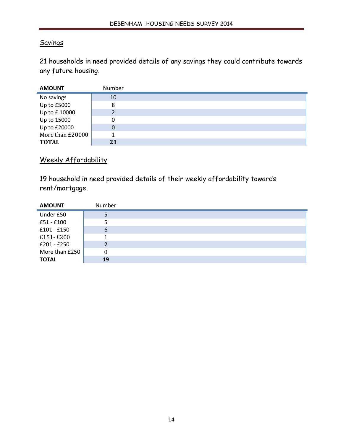#### **Savings**

21 households in need provided details of any savings they could contribute towards any future housing.

| <b>AMOUNT</b>    | Number |  |
|------------------|--------|--|
| No savings       | 10     |  |
| Up to £5000      | 8      |  |
| Up to £10000     |        |  |
| Up to 15000      | 0      |  |
| Up to £20000     | 0      |  |
| More than £20000 |        |  |
| <b>TOTAL</b>     | 21     |  |

## Weekly Affordability

19 household in need provided details of their weekly affordability towards rent/mortgage.

| <b>AMOUNT</b>  | Number |  |
|----------------|--------|--|
| Under £50      |        |  |
| £51 - £100     |        |  |
| $£101 - £150$  | 6      |  |
| £151-£200      |        |  |
| $£201 - £250$  |        |  |
| More than £250 | 0      |  |
| <b>TOTAL</b>   | 19     |  |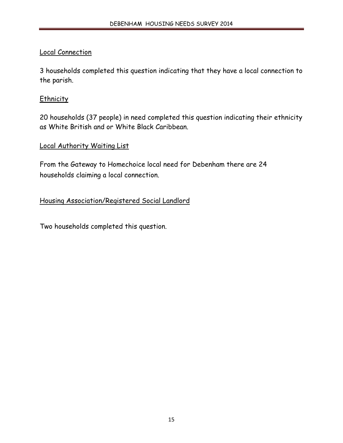## Local Connection

3 households completed this question indicating that they have a local connection to the parish.

## **Ethnicity**

20 households (37 people) in need completed this question indicating their ethnicity as White British and or White Black Caribbean.

#### Local Authority Waiting List

From the Gateway to Homechoice local need for Debenham there are 24 households claiming a local connection.

Housing Association/Registered Social Landlord

Two households completed this question.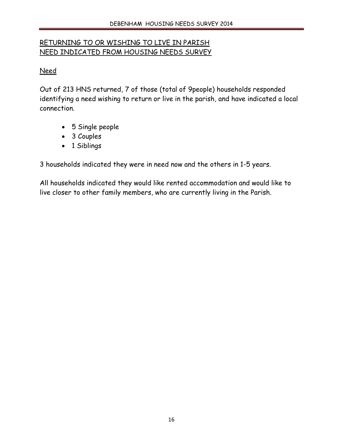# RETURNING TO OR WISHING TO LIVE IN PARISH NEED INDICATED FROM HOUSING NEEDS SURVEY

# Need

Out of 213 HNS returned, 7 of those (total of 9people) households responded identifying a need wishing to return or live in the parish, and have indicated a local connection.

- $\bullet$  5 Single people
- $\bullet$  3 Couples
- 1 Siblings

3 households indicated they were in need now and the others in 1-5 years.

All households indicated they would like rented accommodation and would like to live closer to other family members, who are currently living in the Parish.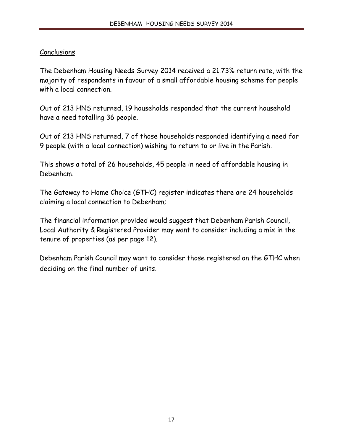## **Conclusions**

The Debenham Housing Needs Survey 2014 received a 21.73% return rate, with the majority of respondents in favour of a small affordable housing scheme for people with a local connection.

Out of 213 HNS returned, 19 households responded that the current household have a need totalling 36 people.

Out of 213 HNS returned, 7 of those households responded identifying a need for 9 people (with a local connection) wishing to return to or live in the Parish.

This shows a total of 26 households, 45 people in need of affordable housing in Debenham.

The Gateway to Home Choice (GTHC) register indicates there are 24 households claiming a local connection to Debenham;

The financial information provided would suggest that Debenham Parish Council, Local Authority & Registered Provider may want to consider including a mix in the tenure of properties (as per page 12).

Debenham Parish Council may want to consider those registered on the GTHC when deciding on the final number of units.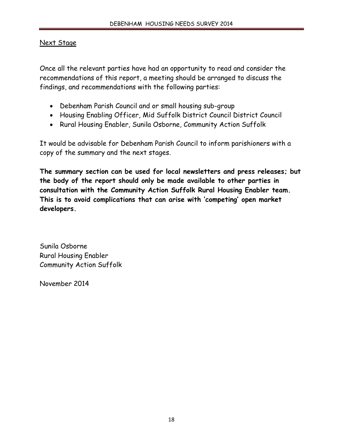#### Next Stage

Once all the relevant parties have had an opportunity to read and consider the recommendations of this report, a meeting should be arranged to discuss the findings, and recommendations with the following parties:

- Debenham Parish Council and or small housing sub-group
- Housing Enabling Officer, Mid Suffolk District Council District Council
- Rural Housing Enabler, Sunila Osborne, Community Action Suffolk

It would be advisable for Debenham Parish Council to inform parishioners with a copy of the summary and the next stages.

**The summary section can be used for local newsletters and press releases; but the body of the report should only be made available to other parties in consultation with the Community Action Suffolk Rural Housing Enabler team. This is to avoid complications that can arise with 'competing' open market developers.**

Sunila Osborne Rural Housing Enabler Community Action Suffolk

November 2014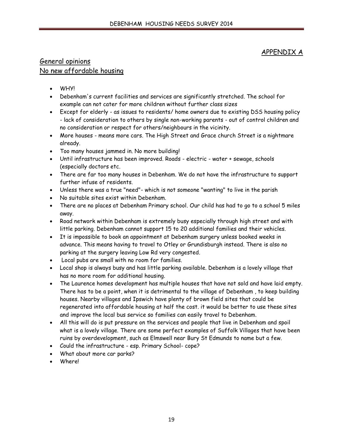#### APPENDIX A

#### General opinions No new affordable housing

- **WHYI**
- Debenham's current facilities and services are significantly stretched. The school for example can not cater for more children without further class sizes
- Except for elderly as issues to residents/ home owners due to existing DSS housing policy - lack of consideration to others by single non-working parents - out of control children and no consideration or respect for others/neighbours in the vicinity.
- More houses means more cars. The High Street and Grace church Street is a nightmare already.
- Too many houses jammed in. No more building!
- Until infrastructure has been improved. Roads electric water + sewage, schools (especially doctors etc.
- There are far too many houses in Debenham. We do not have the infrastructure to support further infuse of residents.
- Unless there was a true "need"- which is not someone "wanting" to live in the parish
- No suitable sites exist within Debenham.
- There are no places at Debenham Primary school. Our child has had to go to a school 5 miles away.
- Road network within Debenham is extremely busy especially through high street and with little parking. Debenham cannot support 15 to 20 additional families and their vehicles.
- It is impossible to book an appointment at Debenham surgery unless booked weeks in advance. This means having to travel to Otley or Grundisburgh instead. There is also no parking at the surgery leaving Low Rd very congested.
- Local pubs are small with no room for families.
- Local shop is always busy and has little parking available. Debenham is a lovely village that has no more room for additional housing.
- The Laurence homes development has multiple houses that have not sold and have laid empty. There has to be a point, when it is detrimental to the village of Debenham , to keep building houses. Nearby villages and Ipswich have plenty of brown field sites that could be regenerated into affordable housing at half the cost. it would be better to use these sites and improve the local bus service so families can easily travel to Debenham.
- All this will do is put pressure on the services and people that live in Debenham and spoil what is a lovely village. There are some perfect examples of Suffolk Villages that have been ruins by overdevelopment, such as Elmswell near Bury St Edmunds to name but a few.
- Could the infrastructure esp. Primary School- cope?
- x What about more car parks?
- Where!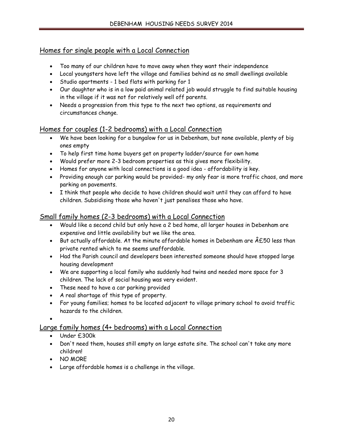## Homes for single people with a Local Connection

- Too many of our children have to move away when they want their independence
- Local youngsters have left the village and families behind as no small dwellings available
- Studio apartments 1 bed flats with parking for 1
- Our daughter who is in a low paid animal related job would struggle to find suitable housing in the village if it was not for relatively well off parents.
- Needs a progression from this type to the next two options, as requirements and circumstances change.

#### Homes for couples (1-2 bedrooms) with a Local Connection

- We have been looking for a bungalow for us in Debenham, but none available, plenty of big ones empty
- To help first time home buyers get on property ladder/source for own home
- Would prefer more 2-3 bedroom properties as this gives more flexibility.
- Homes for anyone with local connections is a good idea affordability is key.
- Providing enough car parking would be provided- my only fear is more traffic chaos, and more parking on pavements.
- I think that people who decide to have children should wait until they can afford to have children. Subsidising those who haven't just penalises those who have.

#### Small family homes (2-3 bedrooms) with a Local Connection

- Would like a second child but only have a 2 bed home, all larger houses in Debenham are expensive and little availability but we like the area.
- But actually affordable. At the minute affordable homes in Debenham are  $\hat{A}E50$  less than private rented which to me seems unaffordable.
- Had the Parish council and developers been interested someone should have stopped large housing development
- We are supporting a local family who suddenly had twins and needed more space for 3 children. The lack of social housing was very evident.
- These need to have a car parking provided
- A real shortage of this type of property.
- For young families; homes to be located adjacent to village primary school to avoid traffic hazards to the children.

 $\bullet$ 

#### Large family homes (4+ bedrooms) with a Local Connection

- Under £300k
- Don't need them, houses still empty on large estate site. The school can't take any more children!
- $\bullet$  NO MORE
- Large affordable homes is a challenge in the village.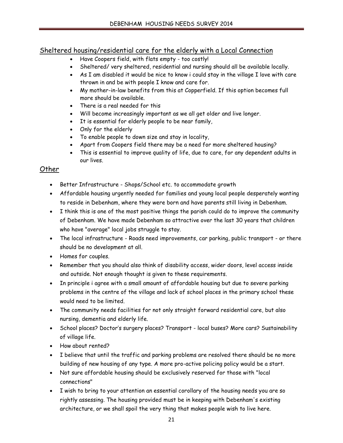## Sheltered housing/residential care for the elderly with a Local Connection

- Have Coopers field, with flats empty too costly!
- Sheltered/ very sheltered, residential and nursing should all be available locally.
- $\bullet$  As I am disabled it would be nice to know i could stay in the village I love with care thrown in and be with people I know and care for.
- My mother-in-law benefits from this at Copperfield. If this option becomes full more should be available.
- There is a real needed for this
- Will become increasingly important as we all get older and live longer.
- It is essential for elderly people to be near family,
- Only for the elderly
- To enable people to down size and stay in locality,
- Apart from Coopers field there may be a need for more sheltered housing?
- This is essential to improve quality of life, due to care, for any dependent adults in our lives.

#### Other

- Better Infrastructure Shops/School etc. to accommodate growth
- Affordable housing urgently needed for families and young local people desperately wanting to reside in Debenham, where they were born and have parents still living in Debenham.
- I think this is one of the most positive things the parish could do to improve the community of Debenham. We have made Debenham so attractive over the last 30 years that children who have "average" local jobs struggle to stay.
- The local infrastructure Roads need improvements, car parking, public transport or there should be no development at all.
- Homes for couples.
- x Remember that you should also think of disability access, wider doors, level access inside and outside. Not enough thought is given to these requirements.
- In principle i agree with a small amount of affordable housing but due to severe parking problems in the centre of the village and lack of school places in the primary school these would need to be limited.
- The community needs facilities for not only straight forward residential care, but also nursing, dementia and elderly life.
- School places? Doctor's surgery places? Transport local buses? More cars? Sustainability of village life.
- How about rented?
- I believe that until the traffic and parking problems are resolved there should be no more building of new housing of any type. A more pro-active policing policy would be a start.
- Not sure affordable housing should be exclusively reserved for those with "local connections"
- I wish to bring to your attention an essential corollary of the housing needs you are so rightly assessing. The housing provided must be in keeping with Debenham's existing architecture, or we shall spoil the very thing that makes people wish to live here.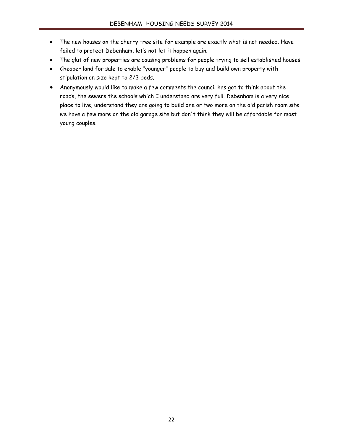- The new houses on the cherry tree site for example are exactly what is not needed. Have failed to protect Debenham, let's not let it happen again.
- The glut of new properties are causing problems for people trying to sell established houses
- x Cheaper land for sale to enable "younger" people to buy and build own property with stipulation on size kept to 2/3 beds.
- Anonymously would like to make a few comments the council has got to think about the roads, the sewers the schools which I understand are very full. Debenham is a very nice place to live, understand they are going to build one or two more on the old parish room site we have a few more on the old garage site but don't think they will be affordable for most young couples.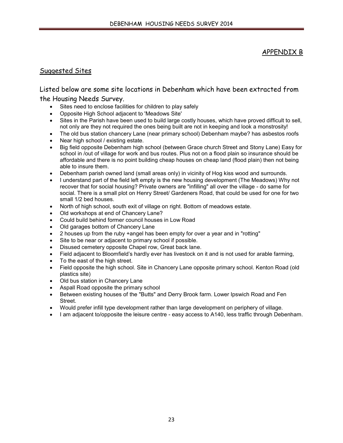#### APPENDIX B

#### Suggested Sites

#### Listed below are some site locations in Debenham which have been extracted from the Housing Needs Survey.

- Sites need to enclose facilities for children to play safely
- x Opposite High School adjacent to 'Meadows Site'
- Sites in the Parish have been used to build large costly houses, which have proved difficult to sell, not only are they not required the ones being built are not in keeping and look a monstrosity!
- The old bus station chancery Lane (near primary school) Debenham maybe? has asbestos roofs
- Near high school / existing estate.
- Big field opposite Debenham high school (between Grace church Street and Stony Lane) Easy for school in /out of village for work and bus routes. Plus not on a flood plain so insurance should be affordable and there is no point building cheap houses on cheap land (flood plain) then not being able to insure them.
- Debenham parish owned land (small areas only) in vicinity of Hog kiss wood and surrounds.
- I understand part of the field left empty is the new housing development (The Meadows) Why not recover that for social housing? Private owners are "infilling" all over the village - do same for social. There is a small plot on Henry Street/ Gardeners Road, that could be used for one for two small 1/2 bed houses.
- North of high school, south exit of village on right. Bottom of meadows estate.
- Old workshops at end of Chancery Lane?
- Could build behind former council houses in Low Road
- Old garages bottom of Chancery Lane
- 2 houses up from the ruby +angel has been empty for over a year and in "rotting"
- Site to be near or adjacent to primary school if possible.
- Disused cemetery opposite Chapel row, Great back lane.
- Field adjacent to Bloomfield's hardly ever has livestock on it and is not used for arable farming,
- To the east of the high street.
- Field opposite the high school. Site in Chancery Lane opposite primary school. Kenton Road (old plastics site)
- Old bus station in Chancery Lane
- Aspall Road opposite the primary school
- Between existing houses of the "Butts" and Derry Brook farm. Lower Ipswich Road and Fen Street.
- Would prefer infill type development rather than large development on periphery of village.
- I am adjacent to/opposite the leisure centre easy access to A140, less traffic through Debenham.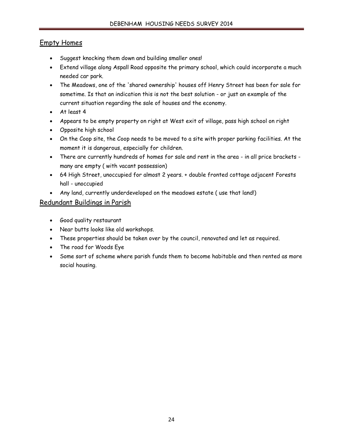#### Empty Homes

- Suggest knocking them down and building smaller ones!
- Extend village along Aspall Road opposite the primary school, which could incorporate a much needed car park.
- The Meadows, one of the 'shared ownership' houses off Henry Street has been for sale for sometime. Is that an indication this is not the best solution - or just an example of the current situation regarding the sale of houses and the economy.
- $\bullet$  At least 4
- Appears to be empty property on right at West exit of village, pass high school on right
- Opposite high school
- On the Coop site, the Coop needs to be moved to a site with proper parking facilities. At the moment it is dangerous, especially for children.
- There are currently hundreds of homes for sale and rent in the area in all price brackets many are empty ( with vacant possession)
- x 64 High Street, unoccupied for almost 2 years. + double fronted cottage adjacent Forests hall - unoccupied
- Any land, currently underdeveloped on the meadows estate (use that land!)

#### Redundant Buildings in Parish

- x Good quality restaurant
- Near butts looks like old workshops.
- These properties should be taken over by the council, renovated and let as required.
- The road for Woods Eye
- Some sort of scheme where parish funds them to become habitable and then rented as more social housing.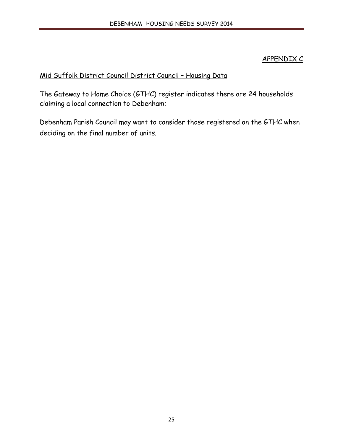## APPENDIX C

# Mid Suffolk District Council District Council – Housing Data

The Gateway to Home Choice (GTHC) register indicates there are 24 households claiming a local connection to Debenham;

Debenham Parish Council may want to consider those registered on the GTHC when deciding on the final number of units.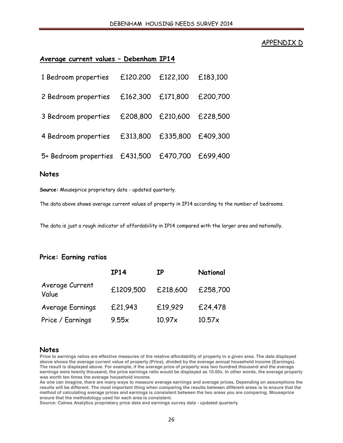#### APPENDIX D

#### **Average current values – Debenham IP14**

| 5+ Bedroom properties £431,500 £470,700 £699,400 |  |  |
|--------------------------------------------------|--|--|

#### **Notes**

**Source:** Mouseprice proprietary data - updated quarterly.

The data above shows average current values of property in IP14 according to the number of bedrooms.

The data is just a rough indicator of affordability in IP14 compared with the larger area and nationally.

#### **Price: Earning ratios**

|                          | <b>IP14</b> | <b>IP</b> | National |
|--------------------------|-------------|-----------|----------|
| Average Current<br>Value | £1209,500   | £218,600  | £258,700 |
| Average Earnings         | £21,943     | £19,929   | £24,478  |
| Price / Earnings         | 9.55x       | 10.97x    | 10.57x   |

#### **Notes**

**Price to earnings ratios are effective measures of the relative affordability of property in a given area. The data displayed above shows the average current value of property (Price), divided by the average annual household income (Earnings). The result is displayed above. For example, if the average price of property was two hundred thousand and the average earnings were twenty thousand, the price earnings ratio would be displayed as 10.00x. In other words, the average property was worth ten times the average household income.**

**As one can imagine, there are many ways to measure average earnings and average prices. Depending on assumptions the results will be different. The most important thing when comparing the results between different areas is to ensure that the method of calculating average prices and earnings is consistent between the two areas you are comparing. Mouseprice ensure that the methodology used for each area is consistent.**

**Source: Calnea Analytics proprietary price data and earnings survey data - updated quarterly**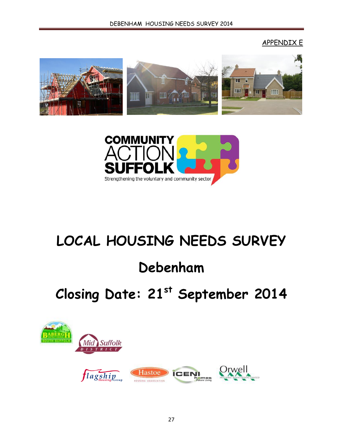## APPENDIX E





# **LOCAL HOUSING NEEDS SURVEY**

# **Debenham**

# **Closing Date: 21st September 2014**

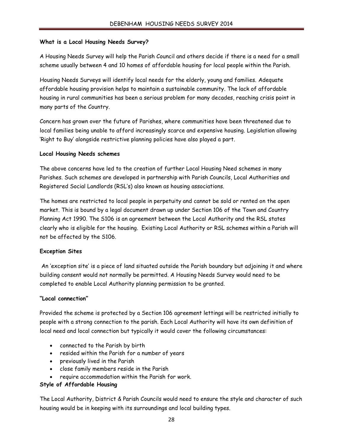#### **What is a Local Housing Needs Survey?**

A Housing Needs Survey will help the Parish Council and others decide if there is a need for a small scheme usually between 4 and 10 homes of affordable housing for local people within the Parish.

Housing Needs Surveys will identify local needs for the elderly, young and families. Adequate affordable housing provision helps to maintain a sustainable community. The lack of affordable housing in rural communities has been a serious problem for many decades, reaching crisis point in many parts of the Country.

Concern has grown over the future of Parishes, where communities have been threatened due to local families being unable to afford increasingly scarce and expensive housing. Legislation allowing 'Right to Buy' alongside restrictive planning policies have also played a part.

#### **Local Housing Needs schemes**

The above concerns have led to the creation of further Local Housing Need schemes in many Parishes. Such schemes are developed in partnership with Parish Councils, Local Authorities and Registered Social Landlords (RSL's) also known as housing associations.

The homes are restricted to local people in perpetuity and cannot be sold or rented on the open market. This is bound by a legal document drawn up under Section 106 of the Town and Country Planning Act 1990. The S106 is an agreement between the Local Authority and the RSL states clearly who is eligible for the housing. Existing Local Authority or RSL schemes within a Parish will not be affected by the S106.

#### **Exception Sites**

An 'exception site' is a piece of land situated outside the Parish boundary but adjoining it and where building consent would not normally be permitted. A Housing Needs Survey would need to be completed to enable Local Authority planning permission to be granted.

#### **"Local connection"**

Provided the scheme is protected by a Section 106 agreement lettings will be restricted initially to people with a strong connection to the parish. Each Local Authority will have its own definition of local need and local connection but typically it would cover the following circumstances:

- connected to the Parish by birth
- resided within the Parish for a number of years
- previously lived in the Parish
- close family members reside in the Parish
- require accommodation within the Parish for work.

#### **Style of Affordable Housing**

The Local Authority, District & Parish Councils would need to ensure the style and character of such housing would be in keeping with its surroundings and local building types.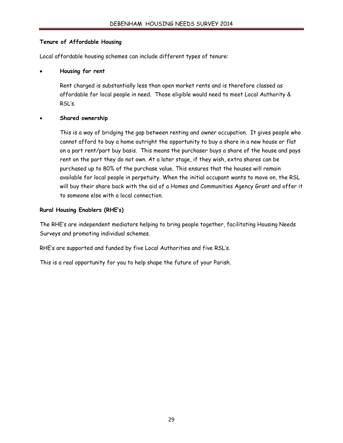#### **Tenure of Affordable Housing**

Local affordable housing schemes can include different types of tenure:

#### x **Housing for rent**

Rent charged is substantially less than open market rents and is therefore classed as affordable for local people in need. Those eligible would need to meet Local Authority & RSL's.

#### x **Shared ownership**

This is a way of bridging the gap between renting and owner occupation. It gives people who cannot afford to buy a home outright the opportunity to buy a share in a new house or flat on a part rent/part buy basis. This means the purchaser buys a share of the house and pays rent on the part they do not own. At a later stage, if they wish, extra shares can be purchased up to 80% of the purchase value. This ensures that the houses will remain available for local people in perpetuity. When the initial occupant wants to move on, the RSL will buy their share back with the aid of a Homes and Communities Agency Grant and offer it to someone else with a local connection.

#### **Rural Housing Enablers (RHE's)**

The RHE's are independent mediators helping to bring people together, facilitating Housing Needs Surveys and promoting individual schemes.

RHE's are supported and funded by five Local Authorities and five RSL's.

This is a real opportunity for you to help shape the future of your Parish.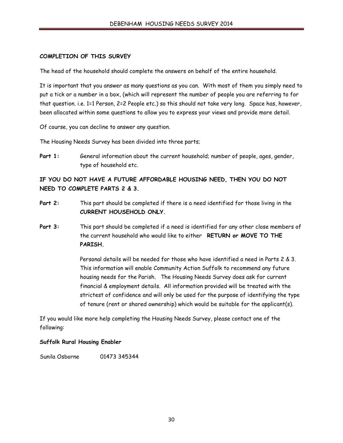#### **COMPLETION OF THIS SURVEY**

The head of the household should complete the answers on behalf of the entire household.

It is important that you answer as many questions as you can. With most of them you simply need to put a tick or a number in a box, (which will represent the number of people you are referring to for that question. i.e. 1=1 Person, 2=2 People etc.) so this should not take very long. Space has, however, been allocated within some questions to allow you to express your views and provide more detail.

Of course, you can decline to answer any question.

The Housing Needs Survey has been divided into three parts;

Part 1: General information about the current household; number of people, ages, gender, type of household etc.

**IF YOU DO NOT HAVE A FUTURE AFFORDABLE HOUSING NEED, THEN YOU DO NOT NEED TO COMPLETE PARTS 2 & 3.**

- Part 2: This part should be completed if there is a need identified for those living in the **CURRENT HOUSEHOLD ONLY.**
- **Part 3:** This part should be completed if a need is identified for any other close members of the current household who would like to either **RETURN or MOVE TO THE PARISH.**

Personal details will be needed for those who have identified a need in Parts 2 & 3. This information will enable Community Action Suffolk to recommend any future housing needs for the Parish. The Housing Needs Survey does ask for current financial & employment details. All information provided will be treated with the strictest of confidence and will only be used for the purpose of identifying the type of tenure (rent or shared ownership) which would be suitable for the applicant(s).

If you would like more help completing the Housing Needs Survey, please contact one of the following:

#### **Suffolk Rural Housing Enabler**

Sunila Osborne 01473 345344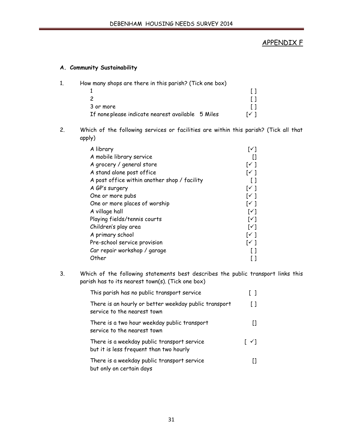#### APPENDIX F

#### **A. Community Sustainability**

- 1. How many shops are there in this parish? (Tick one box) 1  $\qquad \qquad \blacksquare$ 2  $[$   $]$ 3 or more [ ] If noneplease indicate nearest available  $5$  Miles  $[6]$
- 2. Which of the following services or facilities are within this parish? (Tick all that apply)

| A library                                    | [✓]                        |
|----------------------------------------------|----------------------------|
| A mobile library service                     | H                          |
| A grocery / general store                    | $[\checkmark]$             |
| A stand alone post office                    | $[\checkmark]$             |
| A post office within another shop / facility | [ ]                        |
| A GP's surgery                               | [✓]                        |
| One or more pubs                             | [✓ ]                       |
| One or more places of worship                | [✓ ]                       |
| A village hall                               | $\lceil \checkmark \rceil$ |
| Playing fields/tennis courts                 | $\lceil \checkmark \rceil$ |
| Children's play area                         | $\lceil \checkmark \rceil$ |
| A primary school                             | $\lceil \checkmark \rceil$ |
| Pre-school service provision                 | $\lceil \checkmark \rceil$ |
| Car repair workshop / garage                 |                            |
| Other                                        |                            |

3. Which of the following statements best describes the public transport links this parish has to its nearest town(s). (Tick one box)

| This parish has no public transport service                                            |                         |
|----------------------------------------------------------------------------------------|-------------------------|
| There is an hourly or better weekday public transport<br>service to the nearest town   | $\perp$                 |
| There is a two hour weekday public transport<br>service to the nearest town            |                         |
| There is a weekday public transport service<br>but it is less frequent than two hourly | $\lceil \sqrt{} \rceil$ |
| There is a weekday public transport service<br>but only on certain days                |                         |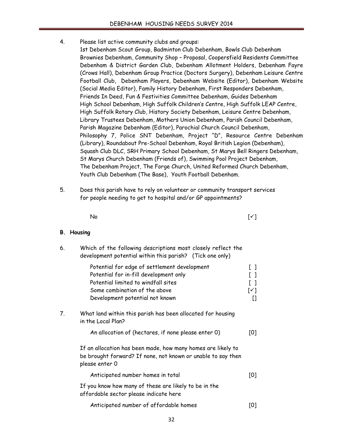- 4. Please list active community clubs and groups:
	- 1st Debenham Scout Group, Badminton Club Debenham, Bowls Club Debenham Brownies Debenham, Community Shop – Proposal, Coopersfield Residents Committee Debenham & District Garden Club, Debenham Allotment Holders, Debenham Fayre (Crows Hall), Debenham Group Practice (Doctors Surgery), Debenham Leisure Centre Football Club, Debenham Players, Debenham Website (Editor), Debenham Website (Social Media Editor), Family History Debenham, First Responders Debenham, Friends In Deed, Fun & Festivities Committee Debenham, Guides Debenham High School Debenham, High Suffolk Children's Centre, High Suffolk LEAP Centre, High Suffolk Rotary Club, History Society Debenham, Leisure Centre Debenham, Library Trustees Debenham, Mothers Union Debenham, Parish Council Debenham, Parish Magazine Debenham (Editor), Parochial Church Council Debenham, Philosophy 7, Police SNT Debenham, Project "D", Resource Centre Debenham (Library), Roundabout Pre-School Debenham, Royal British Legion (Debenham), Squash Club DLC, SRH Primary School Debenham, St Marys Bell Ringers Debenham, St Marys Church Debenham (Friends of), Swimming Pool Project Debenham, The Debenham Project, The Forge Church, United Reformed Church Debenham, Youth Club Debenham (The Base), Youth Football Debenham.
- 5. Does this parish have to rely on volunteer or community transport services for people needing to get to hospital and/or GP appointments?

No the set of  $[\checkmark]$ 

#### **B. Housing**

| 6. | Which of the following descriptions most closely reflect the<br>development potential within this parish? (Tick one only)                                                                         |                                                                                                   |
|----|---------------------------------------------------------------------------------------------------------------------------------------------------------------------------------------------------|---------------------------------------------------------------------------------------------------|
|    | Potential for edge of settlement development<br>Potential for in-fill development only<br>Potential limited to windfall sites<br>Some combination of the above<br>Development potential not known | $\begin{bmatrix} 1 \end{bmatrix}$<br>$\begin{bmatrix} 1 \end{bmatrix}$<br>$\lceil$ ]<br>[√]<br>[] |
| 7. | What land within this parish has been allocated for housing<br>in the Local Plan?                                                                                                                 |                                                                                                   |
|    | An allocation of (hectares, if none please enter 0)                                                                                                                                               | [0]                                                                                               |
|    | If an allocation has been made, how many homes are likely to<br>be brought forward? If none, not known or unable to say then<br>please enter 0                                                    |                                                                                                   |
|    | Anticipated number homes in total                                                                                                                                                                 | [0]                                                                                               |
|    | If you know how many of these are likely to be in the<br>affordable sector please indicate here                                                                                                   |                                                                                                   |
|    | Anticipated number of affordable homes                                                                                                                                                            | [0]                                                                                               |
|    |                                                                                                                                                                                                   |                                                                                                   |